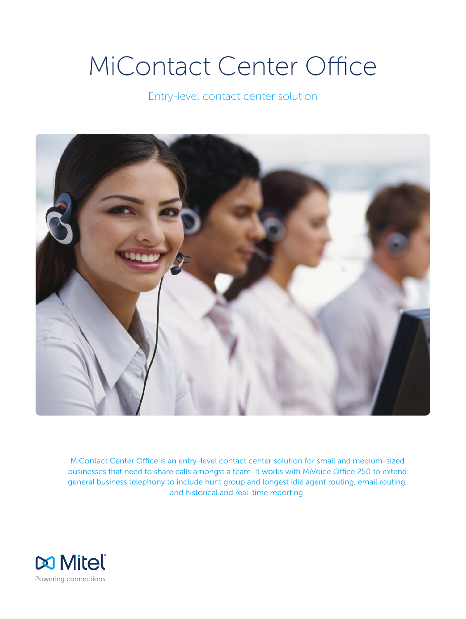# MiContact Center Office

Entry-level contact center solution



MiContact Center Office is an entry-level contact center solution for small and medium-sized businesses that need to share calls amongst a team. It works with MiVoice Office 250 to extend general business telephony to include hunt group and longest idle agent routing, email routing, and historical and real-time reporting.

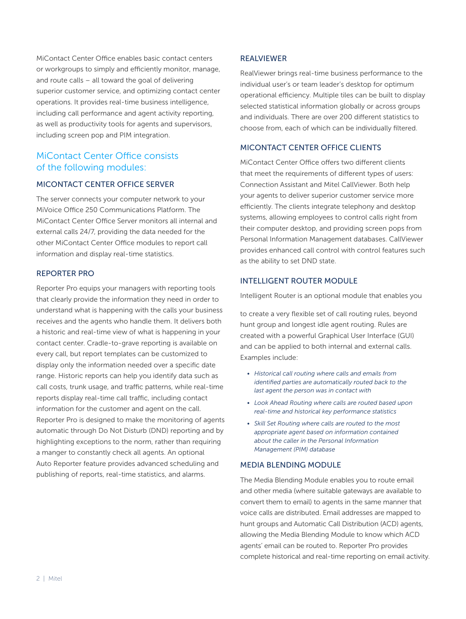MiContact Center Office enables basic contact centers or workgroups to simply and efficiently monitor, manage, and route calls – all toward the goal of delivering superior customer service, and optimizing contact center operations. It provides real-time business intelligence, including call performance and agent activity reporting, as well as productivity tools for agents and supervisors, including screen pop and PIM integration.

# MiContact Center Office consists of the following modules:

#### MICONTACT CENTER OFFICE SERVER

The server connects your computer network to your MiVoice Office 250 Communications Platform. The MiContact Center Office Server monitors all internal and external calls 24/7, providing the data needed for the other MiContact Center Office modules to report call information and display real-time statistics.

## REPORTER PRO

Reporter Pro equips your managers with reporting tools that clearly provide the information they need in order to understand what is happening with the calls your business receives and the agents who handle them. It delivers both a historic and real-time view of what is happening in your contact center. Cradle-to-grave reporting is available on every call, but report templates can be customized to display only the information needed over a specific date range. Historic reports can help you identify data such as call costs, trunk usage, and traffic patterns, while real-time reports display real-time call traffic, including contact information for the customer and agent on the call. Reporter Pro is designed to make the monitoring of agents automatic through Do Not Disturb (DND) reporting and by highlighting exceptions to the norm, rather than requiring a manger to constantly check all agents. An optional Auto Reporter feature provides advanced scheduling and publishing of reports, real-time statistics, and alarms.

#### REALVIEWER

RealViewer brings real-time business performance to the individual user's or team leader's desktop for optimum operational efficiency. Multiple tiles can be built to display selected statistical information globally or across groups and individuals. There are over 200 different statistics to choose from, each of which can be individually filtered.

#### MICONTACT CENTER OFFICE CLIENTS

MiContact Center Office offers two different clients that meet the requirements of different types of users: Connection Assistant and Mitel CallViewer. Both help your agents to deliver superior customer service more efficiently. The clients integrate telephony and desktop systems, allowing employees to control calls right from their computer desktop, and providing screen pops from Personal Information Management databases. CallViewer provides enhanced call control with control features such as the ability to set DND state.

#### INTELLIGENT ROUTER MODULE

Intelligent Router is an optional module that enables you

to create a very flexible set of call routing rules, beyond hunt group and longest idle agent routing. Rules are created with a powerful Graphical User Interface (GUI) and can be applied to both internal and external calls. Examples include:

- *• Historical call routing where calls and emails from identified parties are automatically routed back to the last agent the person was in contact with*
- *• Look Ahead Routing where calls are routed based upon real-time and historical key performance statistics*
- *• Skill Set Routing where calls are routed to the most appropriate agent based on information contained about the caller in the Personal Information Management (PIM) database*

### MEDIA BLENDING MODULE

The Media Blending Module enables you to route email and other media (where suitable gateways are available to convert them to email) to agents in the same manner that voice calls are distributed. Email addresses are mapped to hunt groups and Automatic Call Distribution (ACD) agents, allowing the Media Blending Module to know which ACD agents' email can be routed to. Reporter Pro provides complete historical and real-time reporting on email activity.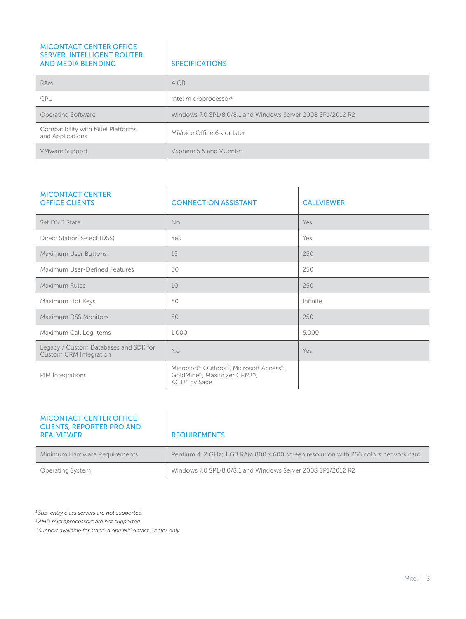| <b>MICONTACT CENTER OFFICE</b><br><b>SERVER, INTELLIGENT ROUTER</b><br><b>AND MEDIA BLENDING</b> | <b>SPECIFICATIONS</b>                                       |
|--------------------------------------------------------------------------------------------------|-------------------------------------------------------------|
| <b>RAM</b>                                                                                       | 4 GB                                                        |
| <b>CPU</b>                                                                                       | Intel microprocessor <sup>2</sup>                           |
| Operating Software                                                                               | Windows 7.0 SP1/8.0/8.1 and Windows Server 2008 SP1/2012 R2 |
| Compatibility with Mitel Platforms<br>and Applications                                           | MiVoice Office 6.x or later                                 |
| <b>VMware Support</b>                                                                            | VSphere 5.5 and VCenter                                     |

| <b>MICONTACT CENTER</b><br><b>OFFICE CLIENTS</b>                       | <b>CONNECTION ASSISTANT</b>                                                            | <b>CALLVIEWER</b> |
|------------------------------------------------------------------------|----------------------------------------------------------------------------------------|-------------------|
| Set DND State                                                          | <b>No</b>                                                                              | Yes               |
| Direct Station Select (DSS)                                            | Yes                                                                                    | Yes               |
| Maximum User Buttons                                                   | 15                                                                                     | 250               |
| Maximum User-Defined Features                                          | 50                                                                                     | 250               |
| Maximum Rules                                                          | 10                                                                                     | 250               |
| Maximum Hot Keys                                                       | 50                                                                                     | Infinite          |
| Maximum DSS Monitors                                                   | 50                                                                                     | 250               |
| Maximum Call Log Items                                                 | 1,000                                                                                  | 5,000             |
| Legacy / Custom Databases and SDK for<br><b>Custom CRM Integration</b> | <b>No</b>                                                                              | Yes               |
| PIM Integrations                                                       | Microsoft® Outlook®, Microsoft Access®,<br>GoldMine®, Maximizer CRM™,<br>ACT!® by Sage |                   |

| <b>MICONTACT CENTER OFFICE</b><br><b>CLIENTS, REPORTER PRO AND</b><br><b>REALVIEWER</b> | <b>REQUIREMENTS</b>                                                                 |
|-----------------------------------------------------------------------------------------|-------------------------------------------------------------------------------------|
| Minimum Hardware Requirements                                                           | Pentium 4, 2 GHz: 1 GB RAM 800 x 600 screen resolution with 256 colors network card |
| <b>Operating System</b>                                                                 | Windows 7.0 SP1/8.0/8.1 and Windows Server 2008 SP1/2012 R2                         |

*1 Sub-entry class servers are not supported.*

*2 AMD microprocessors are not supported.*

*3 Support available for stand-alone MiContact Center only.*